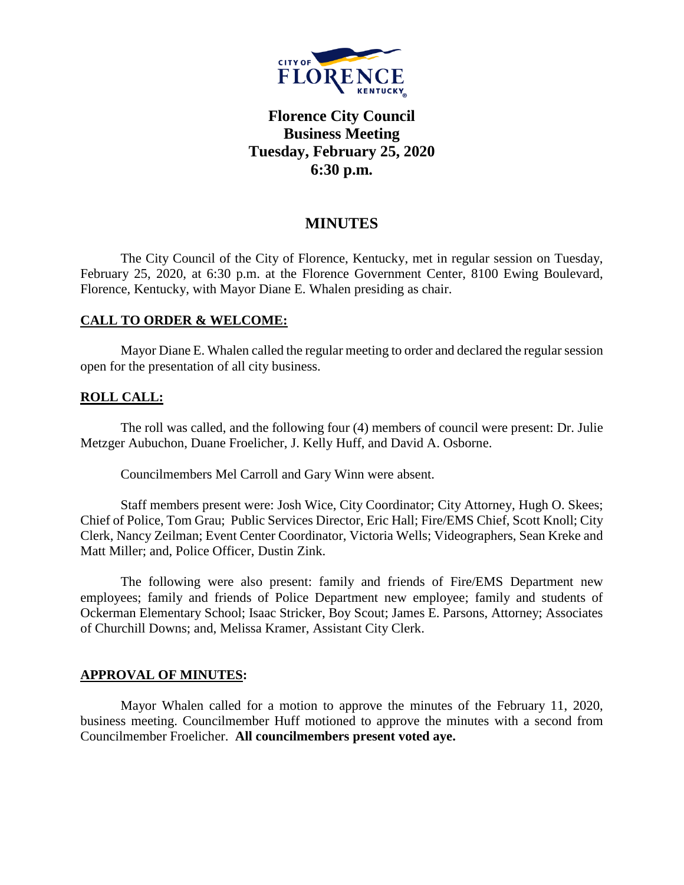

# **Florence City Council Business Meeting Tuesday, February 25, 2020 6:30 p.m.**

# **MINUTES**

The City Council of the City of Florence, Kentucky, met in regular session on Tuesday, February 25, 2020, at 6:30 p.m. at the Florence Government Center, 8100 Ewing Boulevard, Florence, Kentucky, with Mayor Diane E. Whalen presiding as chair.

# **CALL TO ORDER & WELCOME:**

Mayor Diane E. Whalen called the regular meeting to order and declared the regular session open for the presentation of all city business.

# **ROLL CALL:**

The roll was called, and the following four (4) members of council were present: Dr. Julie Metzger Aubuchon, Duane Froelicher, J. Kelly Huff, and David A. Osborne.

Councilmembers Mel Carroll and Gary Winn were absent.

Staff members present were: Josh Wice, City Coordinator; City Attorney, Hugh O. Skees; Chief of Police, Tom Grau; Public Services Director, Eric Hall; Fire/EMS Chief, Scott Knoll; City Clerk, Nancy Zeilman; Event Center Coordinator, Victoria Wells; Videographers, Sean Kreke and Matt Miller; and, Police Officer, Dustin Zink.

The following were also present: family and friends of Fire/EMS Department new employees; family and friends of Police Department new employee; family and students of Ockerman Elementary School; Isaac Stricker, Boy Scout; James E. Parsons, Attorney; Associates of Churchill Downs; and, Melissa Kramer, Assistant City Clerk.

## **APPROVAL OF MINUTES:**

Mayor Whalen called for a motion to approve the minutes of the February 11, 2020, business meeting. Councilmember Huff motioned to approve the minutes with a second from Councilmember Froelicher. **All councilmembers present voted aye.**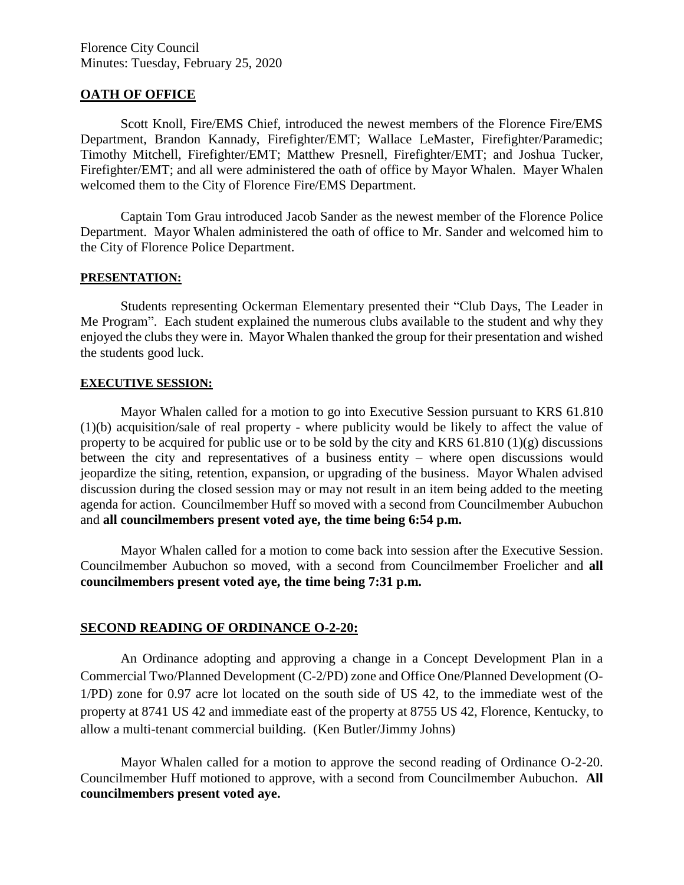Florence City Council Minutes: Tuesday, February 25, 2020

#### **OATH OF OFFICE**

Scott Knoll, Fire/EMS Chief, introduced the newest members of the Florence Fire/EMS Department, Brandon Kannady, Firefighter/EMT; Wallace LeMaster, Firefighter/Paramedic; Timothy Mitchell, Firefighter/EMT; Matthew Presnell, Firefighter/EMT; and Joshua Tucker, Firefighter/EMT; and all were administered the oath of office by Mayor Whalen. Mayer Whalen welcomed them to the City of Florence Fire/EMS Department.

Captain Tom Grau introduced Jacob Sander as the newest member of the Florence Police Department. Mayor Whalen administered the oath of office to Mr. Sander and welcomed him to the City of Florence Police Department.

#### **PRESENTATION:**

Students representing Ockerman Elementary presented their "Club Days, The Leader in Me Program". Each student explained the numerous clubs available to the student and why they enjoyed the clubs they were in. Mayor Whalen thanked the group for their presentation and wished the students good luck.

#### **EXECUTIVE SESSION:**

Mayor Whalen called for a motion to go into Executive Session pursuant to KRS 61.810 (1)(b) acquisition/sale of real property - where publicity would be likely to affect the value of property to be acquired for public use or to be sold by the city and KRS 61.810 (1)(g) discussions between the city and representatives of a business entity – where open discussions would jeopardize the siting, retention, expansion, or upgrading of the business. Mayor Whalen advised discussion during the closed session may or may not result in an item being added to the meeting agenda for action. Councilmember Huff so moved with a second from Councilmember Aubuchon and **all councilmembers present voted aye, the time being 6:54 p.m.** 

Mayor Whalen called for a motion to come back into session after the Executive Session. Councilmember Aubuchon so moved, with a second from Councilmember Froelicher and **all councilmembers present voted aye, the time being 7:31 p.m.**

#### **SECOND READING OF ORDINANCE O-2-20:**

An Ordinance adopting and approving a change in a Concept Development Plan in a Commercial Two/Planned Development (C-2/PD) zone and Office One/Planned Development (O-1/PD) zone for 0.97 acre lot located on the south side of US 42, to the immediate west of the property at 8741 US 42 and immediate east of the property at 8755 US 42, Florence, Kentucky, to allow a multi-tenant commercial building. (Ken Butler/Jimmy Johns)

Mayor Whalen called for a motion to approve the second reading of Ordinance O-2-20. Councilmember Huff motioned to approve, with a second from Councilmember Aubuchon. **All councilmembers present voted aye.**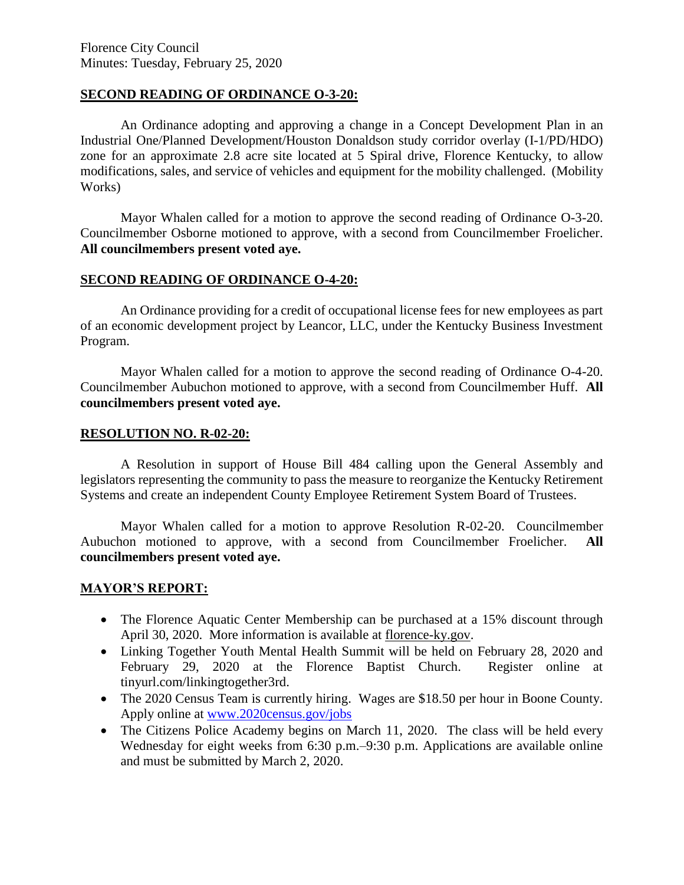### **SECOND READING OF ORDINANCE O-3-20:**

An Ordinance adopting and approving a change in a Concept Development Plan in an Industrial One/Planned Development/Houston Donaldson study corridor overlay (I-1/PD/HDO) zone for an approximate 2.8 acre site located at 5 Spiral drive, Florence Kentucky, to allow modifications, sales, and service of vehicles and equipment for the mobility challenged. (Mobility Works)

Mayor Whalen called for a motion to approve the second reading of Ordinance O-3-20. Councilmember Osborne motioned to approve, with a second from Councilmember Froelicher. **All councilmembers present voted aye.** 

## **SECOND READING OF ORDINANCE O-4-20:**

An Ordinance providing for a credit of occupational license fees for new employees as part of an economic development project by Leancor, LLC, under the Kentucky Business Investment Program.

Mayor Whalen called for a motion to approve the second reading of Ordinance O-4-20. Councilmember Aubuchon motioned to approve, with a second from Councilmember Huff. **All councilmembers present voted aye.** 

### **RESOLUTION NO. R-02-20:**

A Resolution in support of House Bill 484 calling upon the General Assembly and legislators representing the community to pass the measure to reorganize the Kentucky Retirement Systems and create an independent County Employee Retirement System Board of Trustees.

Mayor Whalen called for a motion to approve Resolution R-02-20. Councilmember Aubuchon motioned to approve, with a second from Councilmember Froelicher. **All councilmembers present voted aye.** 

# **MAYOR'S REPORT:**

- The Florence Aquatic Center Membership can be purchased at a 15% discount through April 30, 2020. More information is available at [florence-ky.gov.](http://www.florence-ky.gov/)
- Linking Together Youth Mental Health Summit will be held on February 28, 2020 and February 29, 2020 at the Florence Baptist Church. Register online at tinyurl.com/linkingtogether3rd.
- The 2020 Census Team is currently hiring. Wages are \$18.50 per hour in Boone County. Apply online at [www.2020census.gov/jobs](http://www.2020census.gov/jobs)
- The Citizens Police Academy begins on March 11, 2020. The class will be held every Wednesday for eight weeks from 6:30 p.m.–9:30 p.m. Applications are available online and must be submitted by March 2, 2020.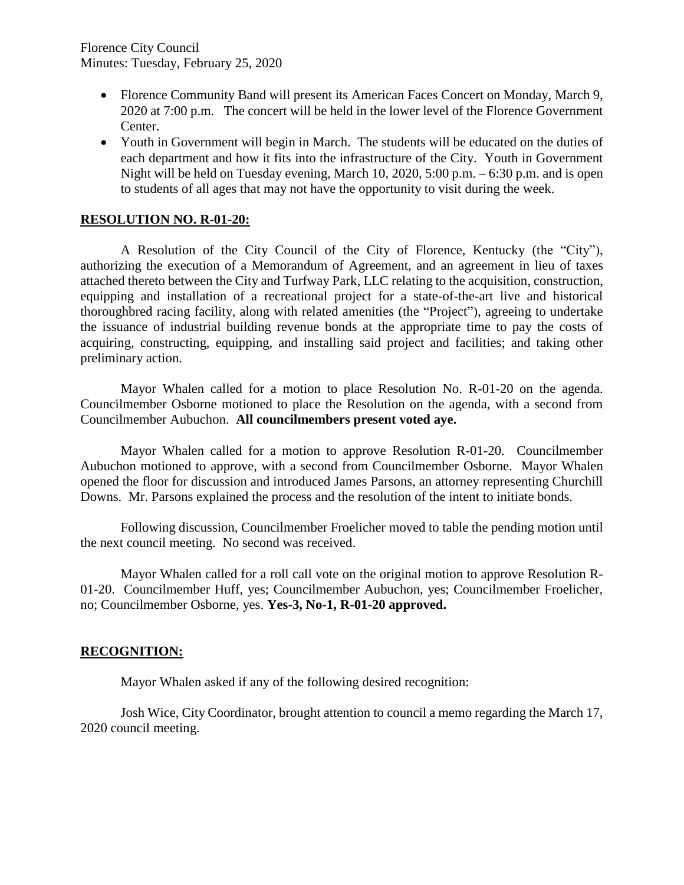- Florence Community Band will present its American Faces Concert on Monday, March 9, 2020 at 7:00 p.m. The concert will be held in the lower level of the Florence Government Center.
- Youth in Government will begin in March. The students will be educated on the duties of each department and how it fits into the infrastructure of the City. Youth in Government Night will be held on Tuesday evening, March 10, 2020, 5:00 p.m. – 6:30 p.m. and is open to students of all ages that may not have the opportunity to visit during the week.

## **RESOLUTION NO. R-01-20:**

A Resolution of the City Council of the City of Florence, Kentucky (the "City"), authorizing the execution of a Memorandum of Agreement, and an agreement in lieu of taxes attached thereto between the City and Turfway Park, LLC relating to the acquisition, construction, equipping and installation of a recreational project for a state-of-the-art live and historical thoroughbred racing facility, along with related amenities (the "Project"), agreeing to undertake the issuance of industrial building revenue bonds at the appropriate time to pay the costs of acquiring, constructing, equipping, and installing said project and facilities; and taking other preliminary action.

Mayor Whalen called for a motion to place Resolution No. R-01-20 on the agenda. Councilmember Osborne motioned to place the Resolution on the agenda, with a second from Councilmember Aubuchon. **All councilmembers present voted aye.** 

Mayor Whalen called for a motion to approve Resolution R-01-20. Councilmember Aubuchon motioned to approve, with a second from Councilmember Osborne. Mayor Whalen opened the floor for discussion and introduced James Parsons, an attorney representing Churchill Downs. Mr. Parsons explained the process and the resolution of the intent to initiate bonds.

Following discussion, Councilmember Froelicher moved to table the pending motion until the next council meeting. No second was received.

Mayor Whalen called for a roll call vote on the original motion to approve Resolution R-01-20. Councilmember Huff, yes; Councilmember Aubuchon, yes; Councilmember Froelicher, no; Councilmember Osborne, yes. **Yes-3, No-1, R-01-20 approved.**

### **RECOGNITION:**

Mayor Whalen asked if any of the following desired recognition:

Josh Wice, City Coordinator, brought attention to council a memo regarding the March 17, 2020 council meeting.